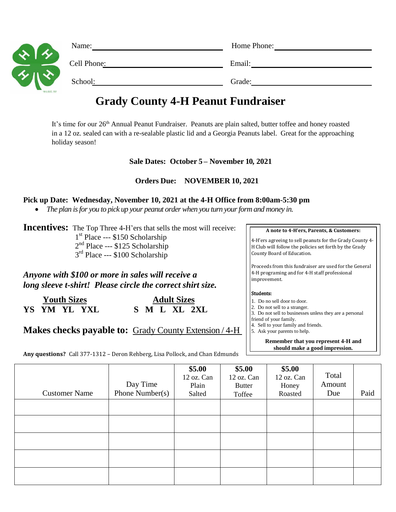| $\ddot{\phantom{0}}$<br>$\lambda$<br><b>ANTISE</b><br>the property of the property of the control of the control of the control of the control of | Name:       | Home Phone: |  |  |
|---------------------------------------------------------------------------------------------------------------------------------------------------|-------------|-------------|--|--|
|                                                                                                                                                   | Cell Phone: | Email:      |  |  |
|                                                                                                                                                   | School:     | Grade:      |  |  |

# **Grady County 4-H Peanut Fundraiser**

It's time for our 26<sup>th</sup> Annual Peanut Fundraiser. Peanuts are plain salted, butter toffee and honey roasted in a 12 oz. sealed can with a re-sealable plastic lid and a Georgia Peanuts label. Great for the approaching holiday season!

## **Sale Dates: October 5 – November 10, 2021**

## **Orders Due: NOVEMBER 10, 2021**

#### **Pick up Date: Wednesday, November 10, 2021 at the 4-H Office from 8:00am-5:30 pm**

*The plan is for you to pick up your peanut order when you turn your form and money in.*

**Incentives:** The Top Three 4-H'ers that sells the most will receive: 1<sup>st</sup> Place --- \$150 Scholarship 2<sup>nd</sup> Place --- \$125 Scholarship 3<sup>rd</sup> Place --- \$100 Scholarship

*Anyone with \$100 or more in sales will receive a long sleeve t-shirt! Please circle the correct shirt size.*

**YS YM YL YXL S M L XL 2XL**

**Youth Sizes** Adult Sizes

**Makes checks payable to:** Grady County Extension / 4-H

**Any questions?** Call 377-1312 – Deron Rehberg, Lisa Pollock, and Chan Edmunds

**A note to 4-H'ers, Parents, & Customers:**

4-H'ers agreeing to sell peanuts for the Grady County 4- H Club will follow the policies set forth by the Grady County Board of Education.

Proceeds from this fundraiser are used for the General 4-H programing and for 4-H staff professional improvement.

#### Students:

- 1. Do no sell door to door.
- 2. Do not sell to a stranger.
- 3. Do not sell to businesses unless they are a personal
- friend of your family. 4. Sell to your family and friends.
- 5. Ask your parents to help.

**Remember that you represent 4-H and should make a good impression.**

| <b>Customer Name</b> | Day Time<br>Phone Number( $s$ ) | \$5.00\$<br>12 oz. Can<br>Plain<br>Salted | \$5.00<br>12 oz. Can<br><b>Butter</b><br>Toffee | \$5.00<br>12 oz. Can<br>Honey<br>Roasted | Total<br>Amount<br>Due | Paid |
|----------------------|---------------------------------|-------------------------------------------|-------------------------------------------------|------------------------------------------|------------------------|------|
|                      |                                 |                                           |                                                 |                                          |                        |      |
|                      |                                 |                                           |                                                 |                                          |                        |      |
|                      |                                 |                                           |                                                 |                                          |                        |      |
|                      |                                 |                                           |                                                 |                                          |                        |      |
|                      |                                 |                                           |                                                 |                                          |                        |      |